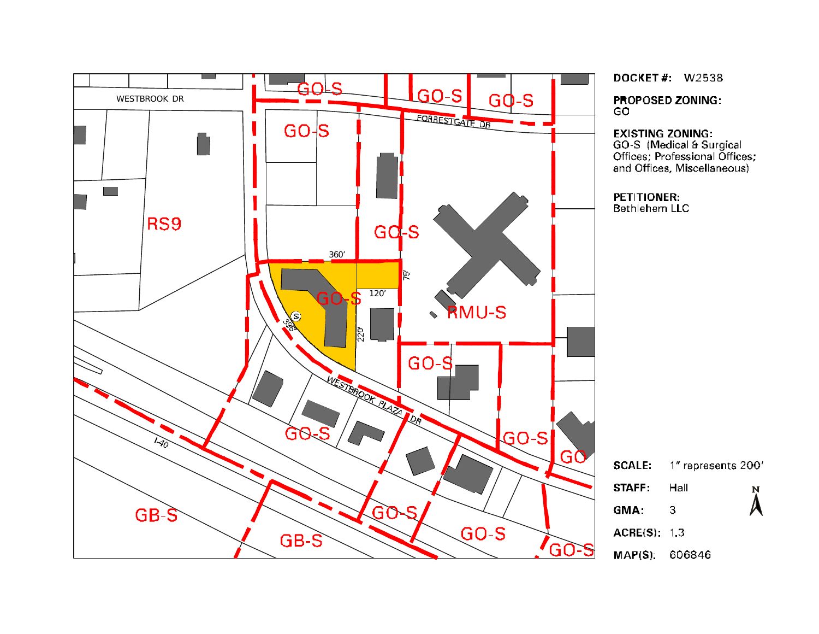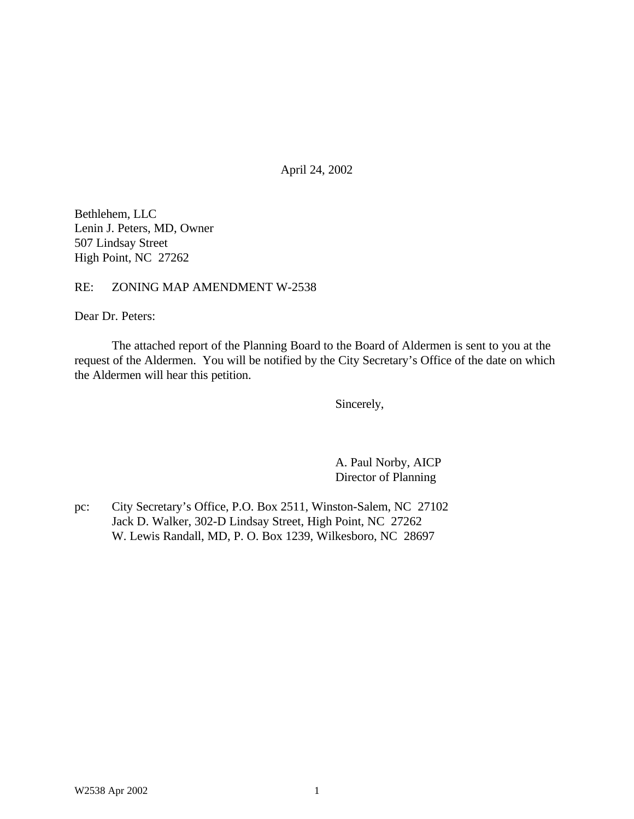April 24, 2002

Bethlehem, LLC Lenin J. Peters, MD, Owner 507 Lindsay Street High Point, NC 27262

RE: ZONING MAP AMENDMENT W-2538

Dear Dr. Peters:

The attached report of the Planning Board to the Board of Aldermen is sent to you at the request of the Aldermen. You will be notified by the City Secretary's Office of the date on which the Aldermen will hear this petition.

Sincerely,

A. Paul Norby, AICP Director of Planning

pc: City Secretary's Office, P.O. Box 2511, Winston-Salem, NC 27102 Jack D. Walker, 302-D Lindsay Street, High Point, NC 27262 W. Lewis Randall, MD, P. O. Box 1239, Wilkesboro, NC 28697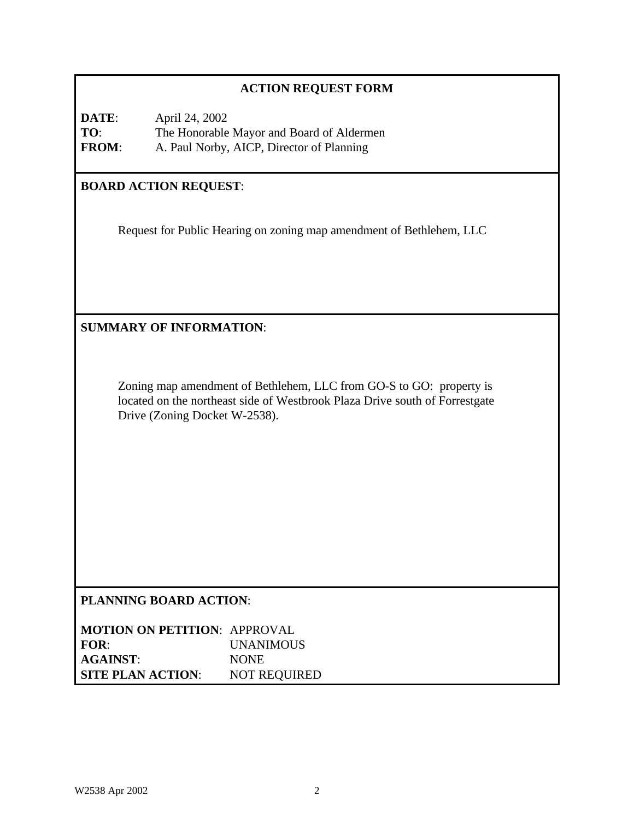# **ACTION REQUEST FORM**

**DATE**: April 24, 2002 **TO**: The Honorable Mayor and Board of Aldermen **FROM**: A. Paul Norby, AICP, Director of Planning

## **BOARD ACTION REQUEST**:

Request for Public Hearing on zoning map amendment of Bethlehem, LLC

# **SUMMARY OF INFORMATION**:

Zoning map amendment of Bethlehem, LLC from GO-S to GO: property is located on the northeast side of Westbrook Plaza Drive south of Forrestgate Drive (Zoning Docket W-2538).

## **PLANNING BOARD ACTION**:

| <b>MOTION ON PETITION: APPROVAL</b> |                     |
|-------------------------------------|---------------------|
| FOR:                                | <b>UNANIMOUS</b>    |
| <b>AGAINST:</b>                     | <b>NONE</b>         |
| <b>SITE PLAN ACTION:</b>            | <b>NOT REQUIRED</b> |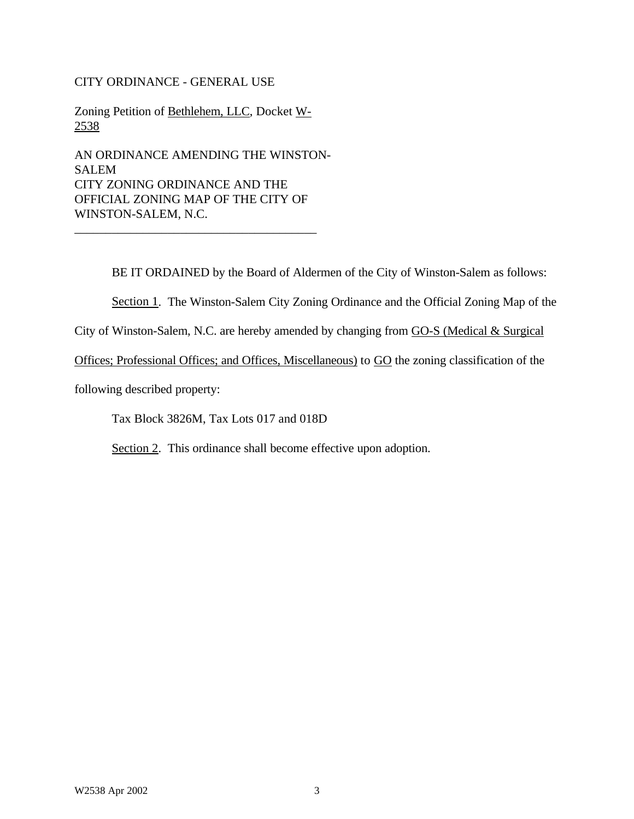### CITY ORDINANCE - GENERAL USE

Zoning Petition of Bethlehem, LLC, Docket W-2538

AN ORDINANCE AMENDING THE WINSTON-SALEM CITY ZONING ORDINANCE AND THE OFFICIAL ZONING MAP OF THE CITY OF WINSTON-SALEM, N.C.

\_\_\_\_\_\_\_\_\_\_\_\_\_\_\_\_\_\_\_\_\_\_\_\_\_\_\_\_\_\_\_\_\_\_\_\_\_\_\_

BE IT ORDAINED by the Board of Aldermen of the City of Winston-Salem as follows:

Section 1. The Winston-Salem City Zoning Ordinance and the Official Zoning Map of the

City of Winston-Salem, N.C. are hereby amended by changing from GO-S (Medical & Surgical

Offices; Professional Offices; and Offices, Miscellaneous) to GO the zoning classification of the

following described property:

Tax Block 3826M, Tax Lots 017 and 018D

Section 2. This ordinance shall become effective upon adoption.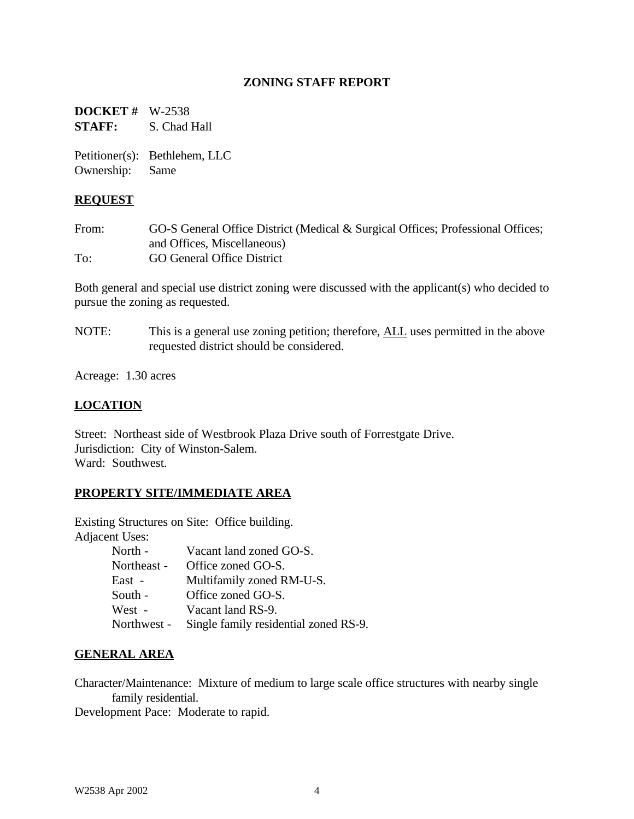## **ZONING STAFF REPORT**

**DOCKET #** W-2538 **STAFF:** S. Chad Hall

Petitioner(s): Bethlehem, LLC Ownership: Same

### **REQUEST**

From: GO-S General Office District (Medical & Surgical Offices; Professional Offices; and Offices, Miscellaneous) To: GO General Office District

Both general and special use district zoning were discussed with the applicant(s) who decided to pursue the zoning as requested.

NOTE: This is a general use zoning petition; therefore, ALL uses permitted in the above requested district should be considered.

Acreage: 1.30 acres

## **LOCATION**

Street: Northeast side of Westbrook Plaza Drive south of Forrestgate Drive. Jurisdiction: City of Winston-Salem. Ward: Southwest.

## **PROPERTY SITE/IMMEDIATE AREA**

Existing Structures on Site: Office building. Adjacent Uses:

| North -     | Vacant land zoned GO-S.               |
|-------------|---------------------------------------|
| Northeast - | Office zoned GO-S.                    |
| East -      | Multifamily zoned RM-U-S.             |
| South -     | Office zoned GO-S.                    |
| West -      | Vacant land RS-9.                     |
| Northwest - | Single family residential zoned RS-9. |

### **GENERAL AREA**

Character/Maintenance: Mixture of medium to large scale office structures with nearby single family residential.

Development Pace: Moderate to rapid.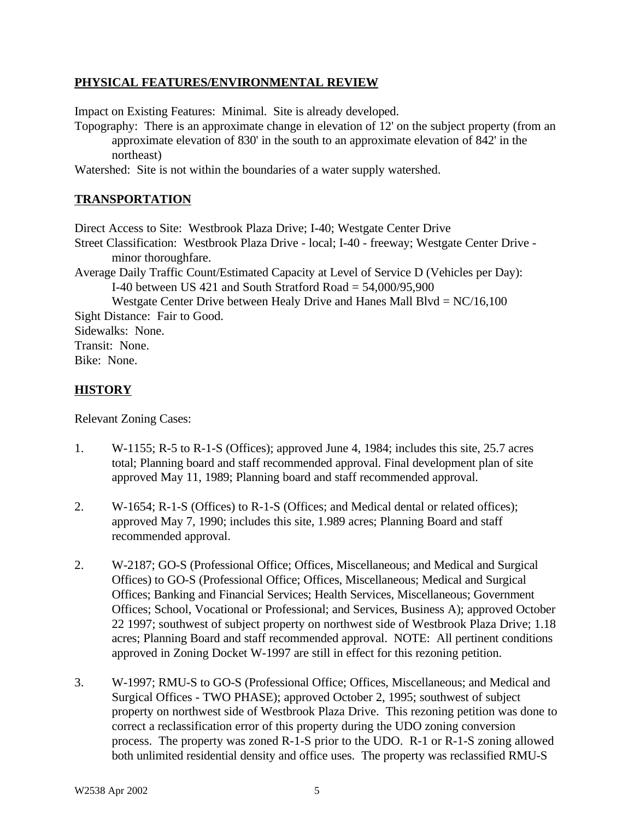## **PHYSICAL FEATURES/ENVIRONMENTAL REVIEW**

Impact on Existing Features: Minimal. Site is already developed.

Topography: There is an approximate change in elevation of 12' on the subject property (from an approximate elevation of 830' in the south to an approximate elevation of 842' in the northeast)

Watershed: Site is not within the boundaries of a water supply watershed.

## **TRANSPORTATION**

Direct Access to Site: Westbrook Plaza Drive; I-40; Westgate Center Drive Street Classification: Westbrook Plaza Drive - local; I-40 - freeway; Westgate Center Drive minor thoroughfare. Average Daily Traffic Count/Estimated Capacity at Level of Service D (Vehicles per Day): I-40 between US 421 and South Stratford Road  $=$  54,000/95,900 Westgate Center Drive between Healy Drive and Hanes Mall Blvd = NC/16,100 Sight Distance: Fair to Good. Sidewalks: None. Transit: None. Bike: None.

## **HISTORY**

Relevant Zoning Cases:

- 1. W-1155; R-5 to R-1-S (Offices); approved June 4, 1984; includes this site, 25.7 acres total; Planning board and staff recommended approval. Final development plan of site approved May 11, 1989; Planning board and staff recommended approval.
- 2. W-1654; R-1-S (Offices) to R-1-S (Offices; and Medical dental or related offices); approved May 7, 1990; includes this site, 1.989 acres; Planning Board and staff recommended approval.
- 2. W-2187; GO-S (Professional Office; Offices, Miscellaneous; and Medical and Surgical Offices) to GO-S (Professional Office; Offices, Miscellaneous; Medical and Surgical Offices; Banking and Financial Services; Health Services, Miscellaneous; Government Offices; School, Vocational or Professional; and Services, Business A); approved October 22 1997; southwest of subject property on northwest side of Westbrook Plaza Drive; 1.18 acres; Planning Board and staff recommended approval. NOTE: All pertinent conditions approved in Zoning Docket W-1997 are still in effect for this rezoning petition.
- 3. W-1997; RMU-S to GO-S (Professional Office; Offices, Miscellaneous; and Medical and Surgical Offices - TWO PHASE); approved October 2, 1995; southwest of subject property on northwest side of Westbrook Plaza Drive. This rezoning petition was done to correct a reclassification error of this property during the UDO zoning conversion process. The property was zoned R-1-S prior to the UDO. R-1 or R-1-S zoning allowed both unlimited residential density and office uses. The property was reclassified RMU-S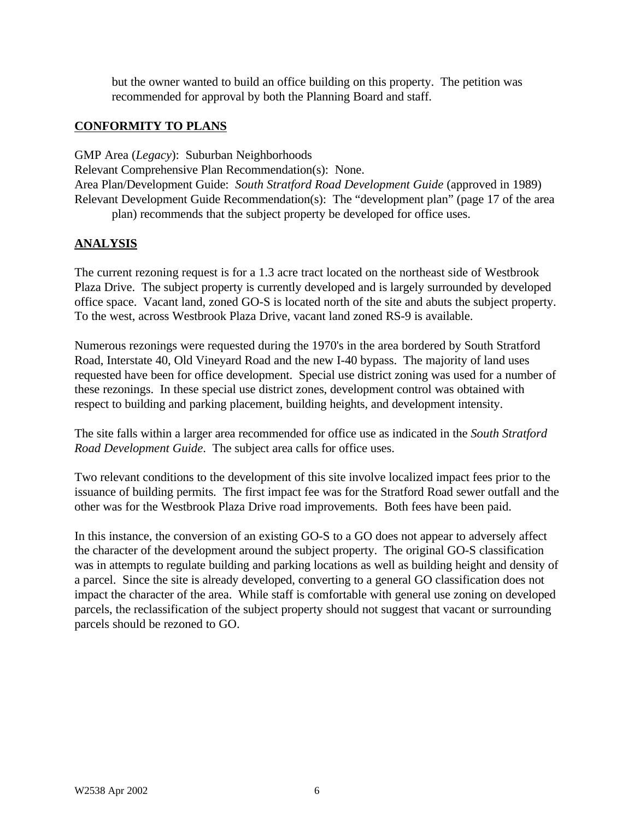but the owner wanted to build an office building on this property. The petition was recommended for approval by both the Planning Board and staff.

## **CONFORMITY TO PLANS**

GMP Area (*Legacy*): Suburban Neighborhoods Relevant Comprehensive Plan Recommendation(s): None. Area Plan/Development Guide: *South Stratford Road Development Guide* (approved in 1989) Relevant Development Guide Recommendation(s): The "development plan" (page 17 of the area plan) recommends that the subject property be developed for office uses.

## **ANALYSIS**

The current rezoning request is for a 1.3 acre tract located on the northeast side of Westbrook Plaza Drive. The subject property is currently developed and is largely surrounded by developed office space. Vacant land, zoned GO-S is located north of the site and abuts the subject property. To the west, across Westbrook Plaza Drive, vacant land zoned RS-9 is available.

Numerous rezonings were requested during the 1970's in the area bordered by South Stratford Road, Interstate 40, Old Vineyard Road and the new I-40 bypass. The majority of land uses requested have been for office development. Special use district zoning was used for a number of these rezonings. In these special use district zones, development control was obtained with respect to building and parking placement, building heights, and development intensity.

The site falls within a larger area recommended for office use as indicated in the *South Stratford Road Development Guide*. The subject area calls for office uses.

Two relevant conditions to the development of this site involve localized impact fees prior to the issuance of building permits. The first impact fee was for the Stratford Road sewer outfall and the other was for the Westbrook Plaza Drive road improvements. Both fees have been paid.

In this instance, the conversion of an existing GO-S to a GO does not appear to adversely affect the character of the development around the subject property. The original GO-S classification was in attempts to regulate building and parking locations as well as building height and density of a parcel. Since the site is already developed, converting to a general GO classification does not impact the character of the area. While staff is comfortable with general use zoning on developed parcels, the reclassification of the subject property should not suggest that vacant or surrounding parcels should be rezoned to GO.